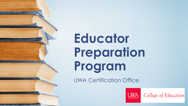# **Educator Preparation Program**

UWA Certification Office



College of Education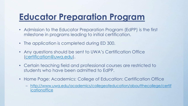# **Educator Preparation Program**

- Admission to the Educator Preparation Program (EdPP) is the first milestone in programs leading to initial certification.
- The application is completed during ED 300.
- Any questions should be sent to UWA's Certification Office [\(certification@uwa.edu](mailto:certification@uwa.edu)).
- Certain teaching field and professional courses are restricted to students who have been admitted to EdPP.
- Home Page: Academics: College of Education: Certification Office
	- [http://www.uwa.edu/academics/collegeofeducation/aboutthecollege/certif](http://www.uwa.edu/academics/collegeofeducation/aboutthecollege/certificationoffice) icationoffice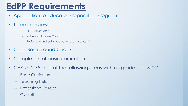# **EdPP Requirements**

• [Application to Educator Preparation Program](https://www.uwa.edu/academics/collegeofeducation/aboutthecollege/certificationoffice/applicationstotheteachereducationprogram)

#### • [Three Interviews](https://www.uwa.edu/sites/default/files/inline-files/EdPP%20Interview_eForm_Instructions_cV9.2020_0.pdf)

- ED 300 Instructor
- Advisor or Success Coach
- Professor or Instructor you have taken a class with
- [Clear Background Check](https://www.uwa.edu/academics/collegeofeducation/aboutthecollege/certificationoffice/backgroundcheck)
- Completion of basic curriculum
- GPA of 2.75 in all of the following areas with no grade below "C":
	- Basic Curriculum
	- Teaching Field
	- Professional Studies
	- Overall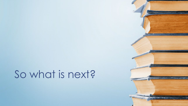# So what is next?

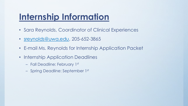# **Internship Information**

- Sara Reynolds, Coordinator of Clinical Experiences
- [sreynolds@uwa.edu,](mailto:sreynolds@uwa.edu) 205-652-3865
- E-mail Ms. Reynolds for Internship Application Packet
- Internship Application Deadlines
	- Fall Deadline: February 1st
	- Spring Deadline: September 1st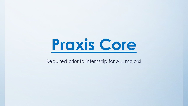

#### Required prior to internship for ALL majors!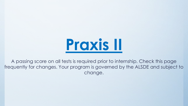

A passing score on all tests is required prior to internship. Check this page frequently for changes. Your program is governed by the ALSDE and subject to change.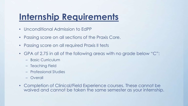# **Internship Requirements**

- Unconditional Admission to EdPP
- Passing score on all sections of the Praxis Core.
- Passing score on all required Praxis II tests
- GPA of 2.75 in all of the following areas with no grade below "C":
	- Basic Curriculum
	- Teaching Field
	- Professional Studies
	- Overall
- Completion of Clinical/Field Experience courses. These cannot be waived and cannot be taken the same semester as your internship.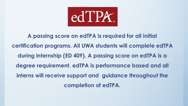

**A passing score on edTPA is required for all initial certification programs. All UWA students will complete edTPA during internship (ED 409). A passing score on edTPA is a degree requirement. edTPA is performance based and all interns will receive support and guidance throughout the completion of edTPA.**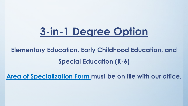# **3-in-1 Degree Option**

### **Elementary Education, Early Childhood Education, and Special Education (K-6)**

**[Area of Specialization Form m](https://www.uwa.edu/academics/collegeofeducation/aboutthecollege/certificationoffice/areaofspecialization)ust be on file with our office.**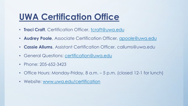### **UWA Certification Office**

- **Traci Craft**, Certification Officer, [tcraft@uwa.edu](mailto:tcraft@uwa.edu)
- **Audrey Poole**, Associate Certification Officer, [apoole@uwa.edu](mailto:apoole@uwa.edu)
- **Cassie Allums**, Assistant Certification Officer, callums@uwa.edu
- General Questions: [certification@uwa.edu](mailto:certification@uwa.edu)
- Phone: 205-652-3423
- Office Hours: Monday-Friday, 8 a.m. 5 p.m. (closed 12-1 for lunch)
- Website: [www.uwa.edu/certification](http://www.uwa.edu/certification)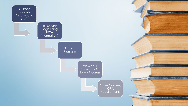